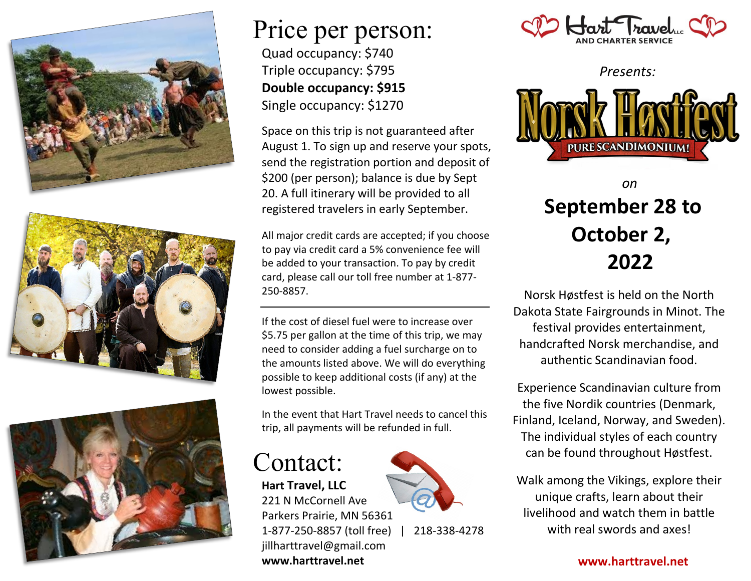





### Price per person: Quad occupancy: \$740 Triple occupancy: \$795 **Double occupancy: \$915** Single occupancy: \$1270

Space on this trip is not guaranteed after August 1. To sign up and reserve your spots, send the registration portion and deposit of \$200 (per person); balance is due by Sept 20. A full itinerary will be provided to all registered travelers in early September.

All major credit cards are accepted; if you choose to pay via credit card a 5% convenience fee will be added to your transaction. To pay by credit card, please call our toll free number at 1-877- 250-8857.

If the cost of diesel fuel were to increase over \$5.75 per gallon at the time of this trip, we may need to consider adding a fuel surcharge on to the amounts listed above. We will do everything possible to keep additional costs (if any) at the lowest possible.

In the event that Hart Travel needs to cancel this trip, all payments will be refunded in full.

Contact: **Hart Travel, LLC** 221 N McCornell Ave

jillharttravel@gmail.com **www.harttravel.net**



1-877-250-8857 (toll free) | 218-338-4278



*Presents:*



### *on* **September 28 to October 2, 2022**

Norsk Høstfest is held on the North Dakota State Fairgrounds in Minot. The festival provides entertainment, handcrafted Norsk merchandise, and authentic Scandinavian food.

Experience Scandinavian culture from the five Nordik countries (Denmark, Finland, Iceland, Norway, and Sweden). The individual styles of each country can be found throughout Høstfest.

Walk among the Vikings, explore their unique crafts, learn about their livelihood and watch them in battle with real swords and axes!

**www.harttravel.net**